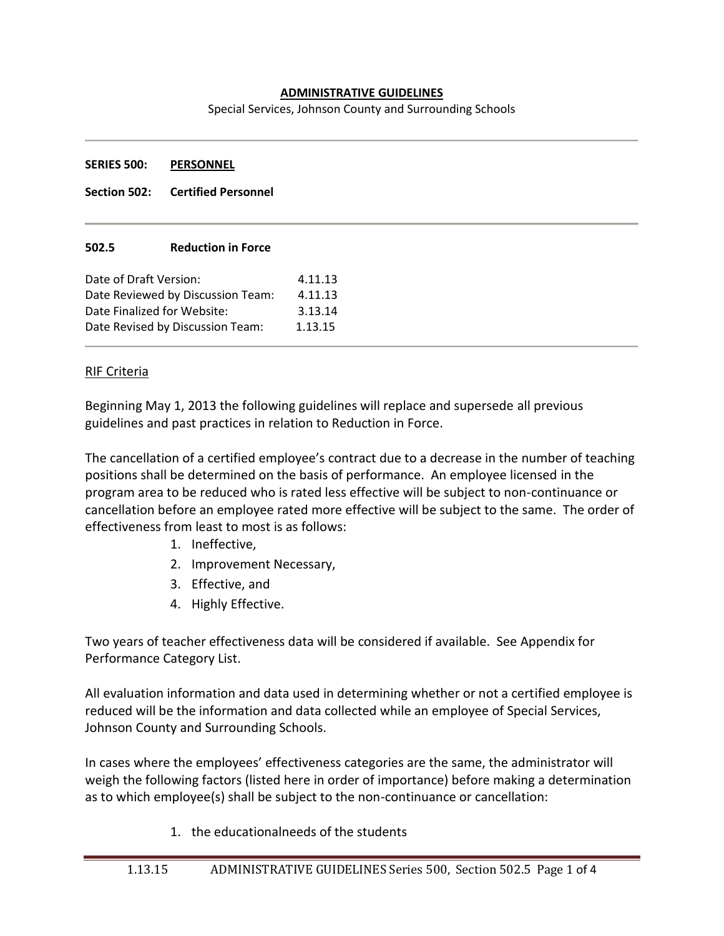## **ADMINISTRATIVE GUIDELINES**

Special Services, Johnson County and Surrounding Schools

### **SERIES 500: PERSONNEL**

**Section 502: Certified Personnel**

### **502.5 Reduction in Force**

| Date of Draft Version:            | 4.11.13 |
|-----------------------------------|---------|
| Date Reviewed by Discussion Team: | 4.11.13 |
| Date Finalized for Website:       | 3.13.14 |
| Date Revised by Discussion Team:  | 1.13.15 |

### RIF Criteria

Beginning May 1, 2013 the following guidelines will replace and supersede all previous guidelines and past practices in relation to Reduction in Force.

The cancellation of a certified employee's contract due to a decrease in the number of teaching positions shall be determined on the basis of performance. An employee licensed in the program area to be reduced who is rated less effective will be subject to non-continuance or cancellation before an employee rated more effective will be subject to the same. The order of effectiveness from least to most is as follows:

- 1. Ineffective,
- 2. Improvement Necessary,
- 3. Effective, and
- 4. Highly Effective.

Two years of teacher effectiveness data will be considered if available. See Appendix for Performance Category List.

All evaluation information and data used in determining whether or not a certified employee is reduced will be the information and data collected while an employee of Special Services, Johnson County and Surrounding Schools.

In cases where the employees' effectiveness categories are the same, the administrator will weigh the following factors (listed here in order of importance) before making a determination as to which employee(s) shall be subject to the non-continuance or cancellation:

1. the educationalneeds of the students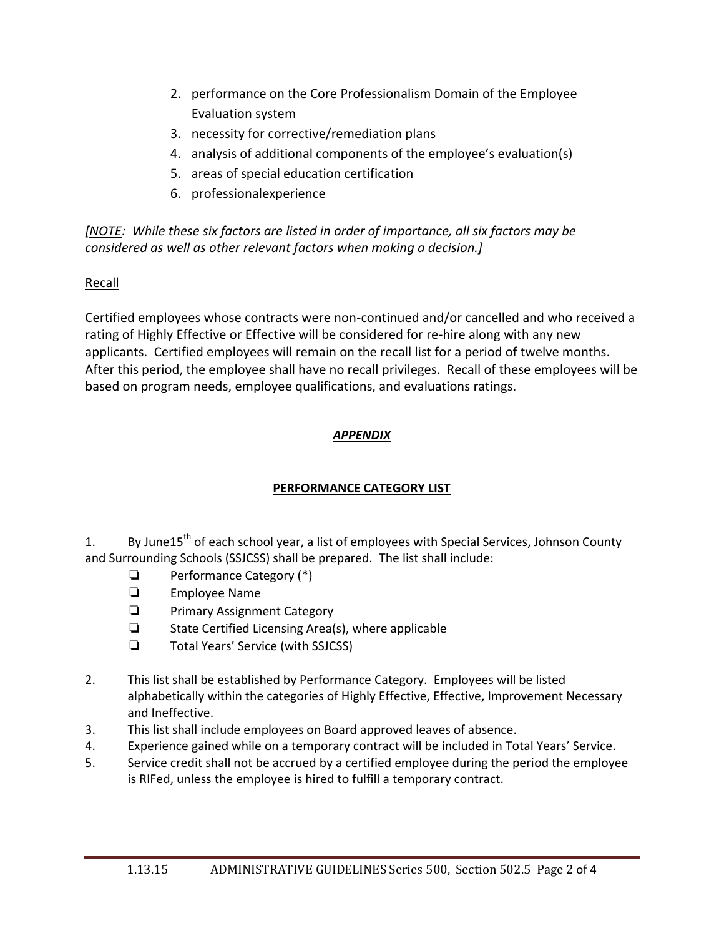- 2. performance on the Core Professionalism Domain of the Employee Evaluation system
- 3. necessity for corrective/remediation plans
- 4. analysis of additional components of the employee's evaluation(s)
- 5. areas of special education certification
- 6. professionalexperience

*[NOTE: While these six factors are listed in order of importance, all six factors may be considered as well as other relevant factors when making a decision.]*

# Recall

Certified employees whose contracts were non-continued and/or cancelled and who received a rating of Highly Effective or Effective will be considered for re-hire along with any new applicants. Certified employees will remain on the recall list for a period of twelve months. After this period, the employee shall have no recall privileges. Recall of these employees will be based on program needs, employee qualifications, and evaluations ratings.

## *APPENDIX*

# **PERFORMANCE CATEGORY LIST**

1. By June15<sup>th</sup> of each school year, a list of employees with Special Services, Johnson County and Surrounding Schools (SSJCSS) shall be prepared. The list shall include:

- ❏ Performance Category (\*)
- ❏ Employee Name
- ❏ Primary Assignment Category
- ❏ State Certified Licensing Area(s), where applicable
- ❏ Total Years' Service (with SSJCSS)
- 2. This list shall be established by Performance Category. Employees will be listed alphabetically within the categories of Highly Effective, Effective, Improvement Necessary and Ineffective.
- 3. This list shall include employees on Board approved leaves of absence.
- 4. Experience gained while on a temporary contract will be included in Total Years' Service.
- 5. Service credit shall not be accrued by a certified employee during the period the employee is RIFed, unless the employee is hired to fulfill a temporary contract.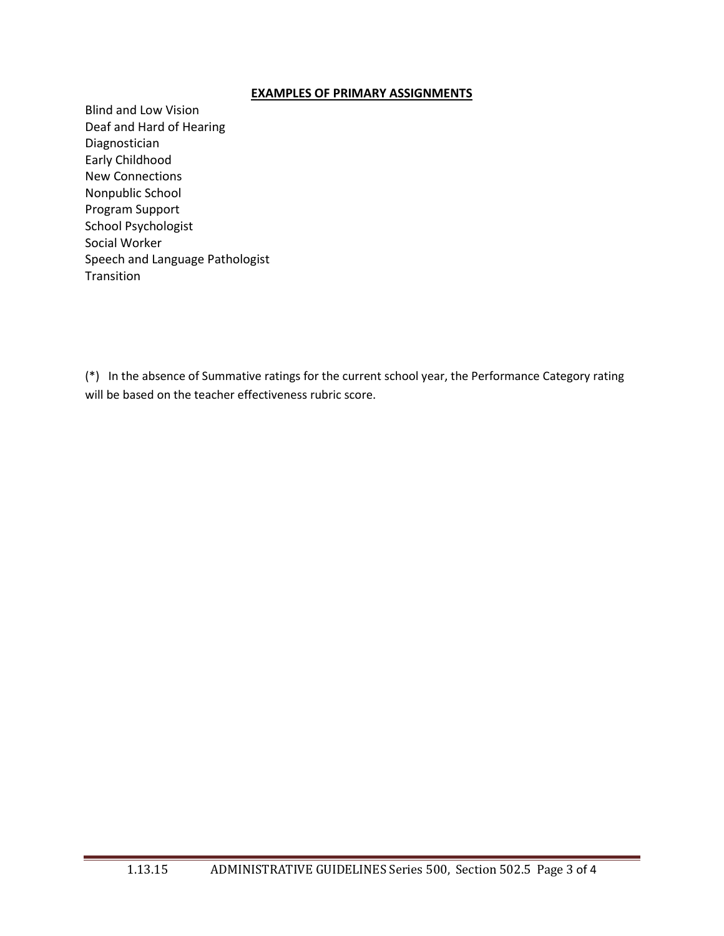## **EXAMPLES OF PRIMARY ASSIGNMENTS**

Blind and Low Vision Deaf and Hard of Hearing Diagnostician Early Childhood New Connections Nonpublic School Program Support School Psychologist Social Worker Speech and Language Pathologist Transition

(\*) In the absence of Summative ratings for the current school year, the Performance Category rating will be based on the teacher effectiveness rubric score.